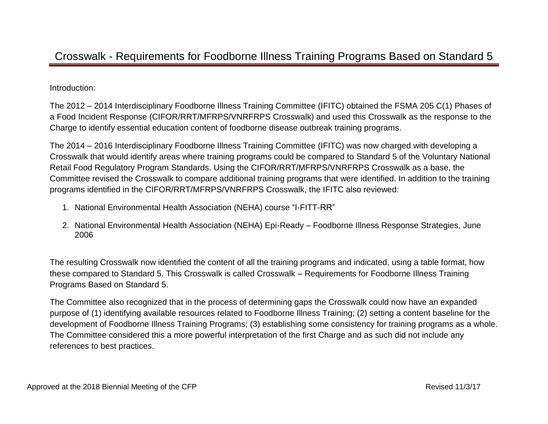## Crosswalk - Requirements for Foodborne Illness Training Programs Based on Standard 5

Introduction:

The 2012 – 2014 Interdisciplinary Foodborne Illness Training Committee (IFITC) obtained the FSMA 205 C(1) Phases of a Food Incident Response (CIFOR/RRT/MFRPS/VNRFRPS Crosswalk) and used this Crosswalk as the response to the Charge to identify essential education content of foodborne disease outbreak training programs.

The 2014 – 2016 Interdisciplinary Foodborne Illness Training Committee (IFITC) was now charged with developing a Crosswalk that would identify areas where training programs could be compared to Standard 5 of the Voluntary National Retail Food Regulatory Program Standards. Using the CIFOR/RRT/MFRPS/VNRFRPS Crosswalk as a base, the Committee revised the Crosswalk to compare additional training programs that were identified. In addition to the training programs identified in the CIFOR/RRT/MFRPS/VNRFRPS Crosswalk, the IFITC also reviewed:

- 1. National Environmental Health Association (NEHA) course "I-FITT-RR"
- 2. National Environmental Health Association (NEHA) Epi-Ready Foodborne Illness Response Strategies, June 2006

The resulting Crosswalk now identified the content of all the training programs and indicated, using a table format, how these compared to Standard 5. This Crosswalk is called Crosswalk – Requirements for Foodborne Illness Training Programs Based on Standard 5.

The Committee also recognized that in the process of determining gaps the Crosswalk could now have an expanded purpose of (1) identifying available resources related to Foodborne Illness Training; (2) setting a content baseline for the development of Foodborne Illness Training Programs; (3) establishing some consistency for training programs as a whole. The Committee considered this a more powerful interpretation of the first Charge and as such did not include any references to best practices.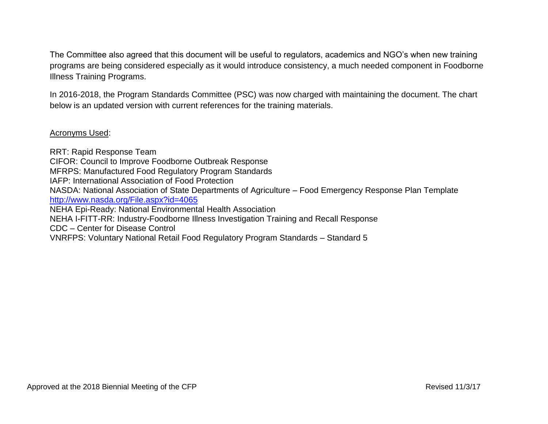The Committee also agreed that this document will be useful to regulators, academics and NGO's when new training programs are being considered especially as it would introduce consistency, a much needed component in Foodborne Illness Training Programs.

In 2016-2018, the Program Standards Committee (PSC) was now charged with maintaining the document. The chart below is an updated version with current references for the training materials.

## Acronyms Used:

RRT: Rapid Response Team CIFOR: Council to Improve Foodborne Outbreak Response MFRPS: Manufactured Food Regulatory Program Standards IAFP: International Association of Food Protection NASDA: National Association of State Departments of Agriculture – Food Emergency Response Plan Template <http://www.nasda.org/File.aspx?id=4065> NEHA Epi-Ready: National Environmental Health Association NEHA I-FITT-RR: Industry-Foodborne Illness Investigation Training and Recall Response CDC – Center for Disease Control VNRFPS: Voluntary National Retail Food Regulatory Program Standards – Standard 5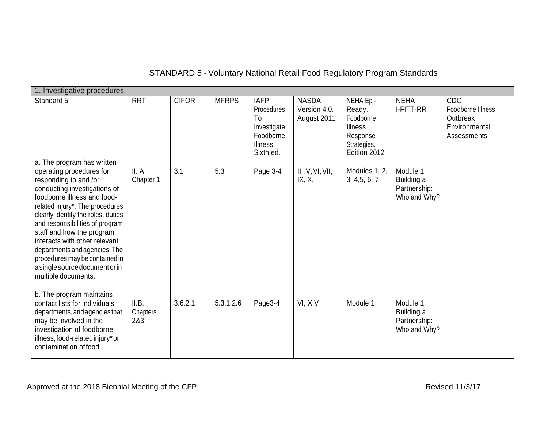| STANDARD 5 - Voluntary National Retail Food Regulatory Program Standards                                                                                                                                                                                                                                                                                                                                                                             |                          |              |              |                                                                                            |                                             |                                                                                               |                                                        |                                                                      |  |  |  |
|------------------------------------------------------------------------------------------------------------------------------------------------------------------------------------------------------------------------------------------------------------------------------------------------------------------------------------------------------------------------------------------------------------------------------------------------------|--------------------------|--------------|--------------|--------------------------------------------------------------------------------------------|---------------------------------------------|-----------------------------------------------------------------------------------------------|--------------------------------------------------------|----------------------------------------------------------------------|--|--|--|
| 1. Investigative procedures.                                                                                                                                                                                                                                                                                                                                                                                                                         |                          |              |              |                                                                                            |                                             |                                                                                               |                                                        |                                                                      |  |  |  |
| Standard 5                                                                                                                                                                                                                                                                                                                                                                                                                                           | <b>RRT</b>               | <b>CIFOR</b> | <b>MFRPS</b> | <b>IAFP</b><br>Procedures<br>To<br>Investigate<br>Foodborne<br><b>Illness</b><br>Sixth ed. | <b>NASDA</b><br>Version 4.0.<br>August 2011 | NEHA Epi-<br>Ready.<br>Foodborne<br><b>Illness</b><br>Response<br>Strategies.<br>Edition 2012 | <b>NEHA</b><br><b>I-FITT-RR</b>                        | CDC<br>Foodborne Illness<br>Outbreak<br>Environmental<br>Assessments |  |  |  |
| a. The program has written<br>operating procedures for<br>responding to and /or<br>conducting investigations of<br>foodborne illness and food-<br>related injury*. The procedures<br>clearly identify the roles, duties<br>and responsibilities of program<br>staff and how the program<br>interacts with other relevant<br>departments and agencies. The<br>procedures may be contained in<br>a single source document or in<br>multiple documents. | II. A.<br>Chapter 1      | 3.1          | 5.3          | Page 3-4                                                                                   | III, V, VI, VII,<br>IX, X,                  | Modules 1, 2,<br>3, 4, 5, 6, 7                                                                | Module 1<br>Building a<br>Partnership:<br>Who and Why? |                                                                      |  |  |  |
| b. The program maintains<br>contact lists for individuals,<br>departments, and agencies that<br>may be involved in the<br>investigation of foodborne<br>illness, food-related injury* or<br>contamination of food.                                                                                                                                                                                                                                   | II.B.<br>Chapters<br>2&3 | 3.6.2.1      | 5.3.1.2.6    | Page3-4                                                                                    | VI, XIV                                     | Module 1                                                                                      | Module 1<br>Building a<br>Partnership:<br>Who and Why? |                                                                      |  |  |  |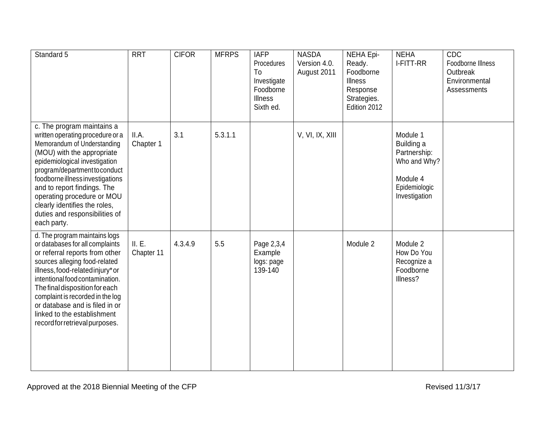| Standard 5                                                                                                                                                                                                                                                                                                                                                                         | <b>RRT</b>           | <b>CIFOR</b> | <b>MFRPS</b> | <b>IAFP</b><br>Procedures<br>To<br>Investigate<br>Foodborne<br><b>Illness</b><br>Sixth ed. | <b>NASDA</b><br>Version 4.0.<br>August 2011 | NEHA Epi-<br>Ready.<br>Foodborne<br><b>Illness</b><br>Response<br>Strategies.<br>Edition 2012 | <b>NEHA</b><br>I-FITT-RR                                                                             | CDC<br>Foodborne Illness<br>Outbreak<br>Environmental<br>Assessments |
|------------------------------------------------------------------------------------------------------------------------------------------------------------------------------------------------------------------------------------------------------------------------------------------------------------------------------------------------------------------------------------|----------------------|--------------|--------------|--------------------------------------------------------------------------------------------|---------------------------------------------|-----------------------------------------------------------------------------------------------|------------------------------------------------------------------------------------------------------|----------------------------------------------------------------------|
| c. The program maintains a<br>written operating procedure or a<br>Memorandum of Understanding<br>(MOU) with the appropriate<br>epidemiological investigation<br>program/department to conduct<br>foodborne illness investigations<br>and to report findings. The<br>operating procedure or MOU<br>clearly identifies the roles,<br>duties and responsibilities of<br>each party.   | II.A.<br>Chapter 1   | 3.1          | 5.3.1.1      |                                                                                            | V, VI, IX, XIII                             |                                                                                               | Module 1<br>Building a<br>Partnership:<br>Who and Why?<br>Module 4<br>Epidemiologic<br>Investigation |                                                                      |
| d. The program maintains logs<br>or databases for all complaints<br>or referral reports from other<br>sources alleging food-related<br>illness, food-related injury* or<br>intentional food contamination.<br>The final disposition for each<br>complaint is recorded in the log<br>or database and is filed in or<br>linked to the establishment<br>recordfor retrieval purposes. | II. E.<br>Chapter 11 | 4.3.4.9      | 5.5          | Page 2,3,4<br>Example<br>logs: page<br>139-140                                             |                                             | Module 2                                                                                      | Module 2<br>How Do You<br>Recognize a<br>Foodborne<br>Illness?                                       |                                                                      |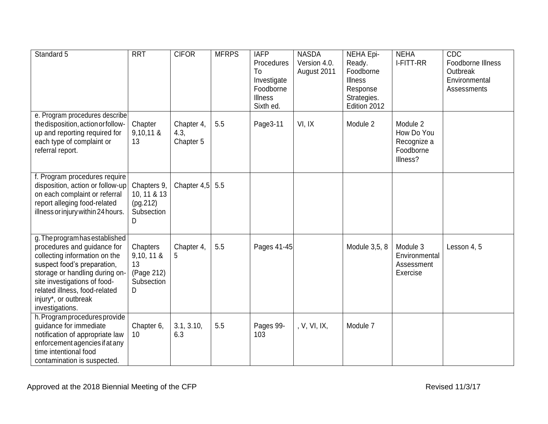| Standard 5                                                                                                                                                                                                                                                                  | <b>RRT</b>                                                      | <b>CIFOR</b>                    | <b>MFRPS</b> | <b>IAFP</b><br>Procedures<br>To<br>Investigate<br>Foodborne<br><b>Illness</b><br>Sixth ed. | <b>NASDA</b><br>Version 4.0.<br>August 2011 | <b>NEHA Epi-</b><br>Ready.<br>Foodborne<br><b>Illness</b><br>Response<br>Strategies.<br>Edition 2012 | <b>NEHA</b><br>I-FITT-RR                                       | CDC<br>Foodborne Illness<br>Outbreak<br>Environmental<br>Assessments |
|-----------------------------------------------------------------------------------------------------------------------------------------------------------------------------------------------------------------------------------------------------------------------------|-----------------------------------------------------------------|---------------------------------|--------------|--------------------------------------------------------------------------------------------|---------------------------------------------|------------------------------------------------------------------------------------------------------|----------------------------------------------------------------|----------------------------------------------------------------------|
| e. Program procedures describe<br>the disposition, action or follow-<br>up and reporting required for<br>each type of complaint or<br>referral report.                                                                                                                      | Chapter<br>$9,10,11$ &<br>13                                    | Chapter 4,<br>4.3,<br>Chapter 5 | 5.5          | Page3-11                                                                                   | VI, IX                                      | Module 2                                                                                             | Module 2<br>How Do You<br>Recognize a<br>Foodborne<br>Illness? |                                                                      |
| f. Program procedures require<br>disposition, action or follow-up<br>on each complaint or referral<br>report alleging food-related<br>illness or injury within 24 hours.                                                                                                    | Chapters 9,<br>10, 11 & 13<br>(pq.212)<br>Subsection<br>D       | Chapter 4,5                     | 5.5          |                                                                                            |                                             |                                                                                                      |                                                                |                                                                      |
| g. The program has established<br>procedures and guidance for<br>collecting information on the<br>suspect food's preparation,<br>storage or handling during on-<br>site investigations of food-<br>related illness, food-related<br>injury*, or outbreak<br>investigations. | Chapters<br>$9,10, 11$ &<br>13<br>(Page 212)<br>Subsection<br>D | Chapter 4,<br>5                 | 5.5          | Pages 41-45                                                                                |                                             | Module 3,5, 8                                                                                        | Module 3<br>Environmental<br>Assessment<br>Exercise            | Lesson 4, 5                                                          |
| h. Program procedures provide<br>guidance for immediate<br>notification of appropriate law<br>enforcement agencies if at any<br>time intentional food<br>contamination is suspected.                                                                                        | Chapter 6,<br>10                                                | 3.1, 3.10,<br>6.3               | 5.5          | Pages 99-<br>103                                                                           | , V, VI, IX,                                | Module 7                                                                                             |                                                                |                                                                      |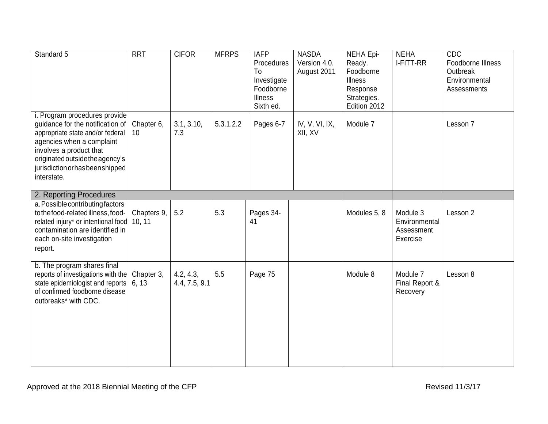| Standard 5                                                                                                                                                                                                                                          | <b>RRT</b>            | <b>CIFOR</b>                 | <b>MFRPS</b> | <b>IAFP</b><br>Procedures<br>To<br>Investigate<br>Foodborne<br><b>Illness</b><br>Sixth ed. | <b>NASDA</b><br>Version 4.0.<br>August 2011 | <b>NEHA Epi-</b><br>Ready.<br>Foodborne<br><b>Illness</b><br>Response<br>Strategies.<br>Edition 2012 | <b>NEHA</b><br>I-FITT-RR                            | CDC<br>Foodborne Illness<br>Outbreak<br>Environmental<br>Assessments |
|-----------------------------------------------------------------------------------------------------------------------------------------------------------------------------------------------------------------------------------------------------|-----------------------|------------------------------|--------------|--------------------------------------------------------------------------------------------|---------------------------------------------|------------------------------------------------------------------------------------------------------|-----------------------------------------------------|----------------------------------------------------------------------|
| i. Program procedures provide<br>guidance for the notification of<br>appropriate state and/or federal<br>agencies when a complaint<br>involves a product that<br>originated outside the agency's<br>jurisdiction or has been shipped<br>interstate. | Chapter 6,<br>10      | 3.1, 3.10,<br>7.3            | 5.3.1.2.2    | Pages 6-7                                                                                  | IV, V, VI, IX,<br>XII, XV                   | Module 7                                                                                             |                                                     | Lesson 7                                                             |
| 2. Reporting Procedures                                                                                                                                                                                                                             |                       |                              |              |                                                                                            |                                             |                                                                                                      |                                                     |                                                                      |
| a. Possible contributing factors<br>to the food-related illness, food-<br>related injury* or intentional food<br>contamination are identified in<br>each on-site investigation<br>report.                                                           | Chapters 9,<br>10, 11 | 5.2                          | 5.3          | Pages 34-<br>41                                                                            |                                             | Modules 5, 8                                                                                         | Module 3<br>Environmental<br>Assessment<br>Exercise | Lesson 2                                                             |
| b. The program shares final<br>reports of investigations with the<br>state epidemiologist and reports<br>of confirmed foodborne disease<br>outbreaks* with CDC.                                                                                     | Chapter 3,<br>6, 13   | 4.2, 4.3,<br>4.4, 7.5, $9.1$ | 5.5          | Page 75                                                                                    |                                             | Module 8                                                                                             | Module 7<br>Final Report &<br>Recovery              | Lesson 8                                                             |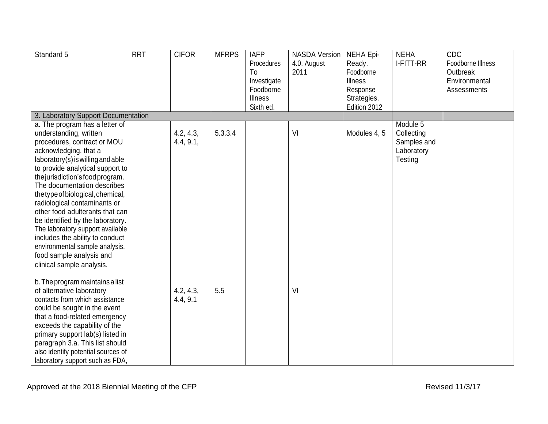| Standard 5                                                                                                                                                                                                                                                                                                                                                                                                                                                                                                                                                                 | <b>RRT</b> | <b>CIFOR</b>           | <b>MFRPS</b> | <b>IAFP</b><br>Procedures<br>To<br>Investigate<br>Foodborne<br><b>Illness</b><br>Sixth ed. | <b>NASDA Version</b><br>4.0. August<br>2011 | NEHA Epi-<br>Ready.<br>Foodborne<br><b>Illness</b><br>Response<br>Strategies.<br>Edition 2012 | <b>NEHA</b><br>I-FITT-RR                                       | <b>CDC</b><br>Foodborne Illness<br>Outbreak<br>Environmental<br>Assessments |
|----------------------------------------------------------------------------------------------------------------------------------------------------------------------------------------------------------------------------------------------------------------------------------------------------------------------------------------------------------------------------------------------------------------------------------------------------------------------------------------------------------------------------------------------------------------------------|------------|------------------------|--------------|--------------------------------------------------------------------------------------------|---------------------------------------------|-----------------------------------------------------------------------------------------------|----------------------------------------------------------------|-----------------------------------------------------------------------------|
| 3. Laboratory Support Documentation                                                                                                                                                                                                                                                                                                                                                                                                                                                                                                                                        |            |                        |              |                                                                                            |                                             |                                                                                               |                                                                |                                                                             |
| a. The program has a letter of<br>understanding, written<br>procedures, contract or MOU<br>acknowledging, that a<br>laboratory(s) is willing and able<br>to provide analytical support to<br>the jurisdiction's food program.<br>The documentation describes<br>the type of biological, chemical,<br>radiological contaminants or<br>other food adulterants that can<br>be identified by the laboratory.<br>The laboratory support available<br>includes the ability to conduct<br>environmental sample analysis,<br>food sample analysis and<br>clinical sample analysis. |            | 4.2, 4.3,<br>4.4, 9.1, | 5.3.3.4      |                                                                                            | VI                                          | Modules 4, 5                                                                                  | Module 5<br>Collecting<br>Samples and<br>Laboratory<br>Testing |                                                                             |
| b. The program maintains a list<br>of alternative laboratory<br>contacts from which assistance<br>could be sought in the event<br>that a food-related emergency<br>exceeds the capability of the<br>primary support lab(s) listed in<br>paragraph 3.a. This list should<br>also identify potential sources of<br>laboratory support such as FDA,                                                                                                                                                                                                                           |            | 4.2, 4.3,<br>4.4, 9.1  | 5.5          |                                                                                            | VI                                          |                                                                                               |                                                                |                                                                             |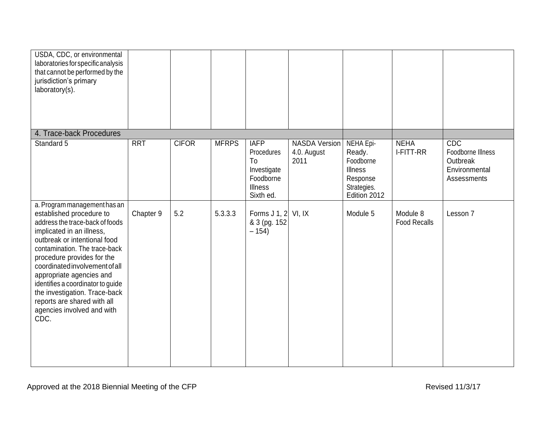| USDA, CDC, or environmental<br>laboratories for specific analysis<br>that cannot be performed by the<br>jurisdiction's primary<br>laboratory(s).                                                                                                                                                                                                                                                                                 |            |              |              |                                                                                            |                                             |                                                                                               |                                 |                                                                             |
|----------------------------------------------------------------------------------------------------------------------------------------------------------------------------------------------------------------------------------------------------------------------------------------------------------------------------------------------------------------------------------------------------------------------------------|------------|--------------|--------------|--------------------------------------------------------------------------------------------|---------------------------------------------|-----------------------------------------------------------------------------------------------|---------------------------------|-----------------------------------------------------------------------------|
| 4. Trace-back Procedures                                                                                                                                                                                                                                                                                                                                                                                                         |            |              |              |                                                                                            |                                             |                                                                                               |                                 |                                                                             |
| Standard 5                                                                                                                                                                                                                                                                                                                                                                                                                       | <b>RRT</b> | <b>CIFOR</b> | <b>MFRPS</b> | <b>IAFP</b><br>Procedures<br>To<br>Investigate<br>Foodborne<br><b>Illness</b><br>Sixth ed. | <b>NASDA Version</b><br>4.0. August<br>2011 | NEHA Epi-<br>Ready.<br>Foodborne<br><b>Illness</b><br>Response<br>Strategies.<br>Edition 2012 | <b>NEHA</b><br>I-FITT-RR        | <b>CDC</b><br>Foodborne Illness<br>Outbreak<br>Environmental<br>Assessments |
| a. Program management has an<br>established procedure to<br>address the trace-back of foods<br>implicated in an illness,<br>outbreak or intentional food<br>contamination. The trace-back<br>procedure provides for the<br>coordinated involvement of all<br>appropriate agencies and<br>identifies a coordinator to guide<br>the investigation. Trace-back<br>reports are shared with all<br>agencies involved and with<br>CDC. | Chapter 9  | 5.2          | 5.3.3.3      | Forms J 1, $2$ VI, IX<br>& 3 (pg. 152)<br>$-154)$                                          |                                             | Module 5                                                                                      | Module 8<br><b>Food Recalls</b> | Lesson 7                                                                    |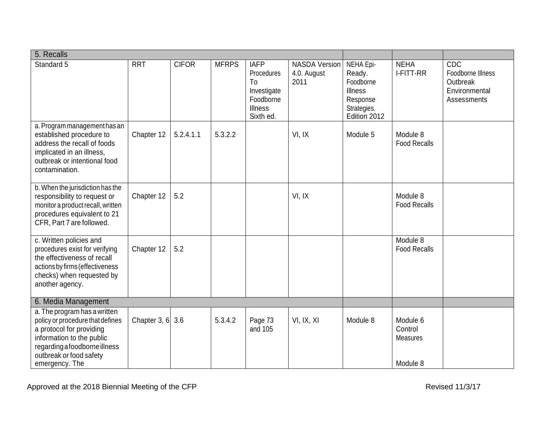| 5. Recalls                                                                                                                                                                                              |                    |              |              |                                                                                            |                                             |                                                                                        |                                                    |                                                                      |
|---------------------------------------------------------------------------------------------------------------------------------------------------------------------------------------------------------|--------------------|--------------|--------------|--------------------------------------------------------------------------------------------|---------------------------------------------|----------------------------------------------------------------------------------------|----------------------------------------------------|----------------------------------------------------------------------|
| Standard 5                                                                                                                                                                                              | <b>RRT</b>         | <b>CIFOR</b> | <b>MFRPS</b> | <b>IAFP</b><br>Procedures<br>To<br>Investigate<br>Foodborne<br><b>Illness</b><br>Sixth ed. | <b>NASDA Version</b><br>4.0. August<br>2011 | NEHA Epi-<br>Ready.<br>Foodborne<br>Illness<br>Response<br>Strategies.<br>Edition 2012 | <b>NEHA</b><br>I-FITT-RR                           | CDC<br>Foodborne Illness<br>Outbreak<br>Environmental<br>Assessments |
| a. Program management has an<br>established procedure to<br>address the recall of foods<br>implicated in an illness,<br>outbreak or intentional food<br>contamination.                                  | Chapter 12         | 5.2.4.1.1    | 5.3.2.2      |                                                                                            | VI, IX                                      | Module 5                                                                               | Module 8<br><b>Food Recalls</b>                    |                                                                      |
| b. When the jurisdiction has the<br>responsibility to request or<br>monitor a product recall, written<br>procedures equivalent to 21<br>CFR, Part 7 are followed.                                       | Chapter 12         | 5.2          |              |                                                                                            | VI, IX                                      |                                                                                        | Module 8<br><b>Food Recalls</b>                    |                                                                      |
| c. Written policies and<br>procedures exist for verifying<br>the effectiveness of recall<br>actions by firms (effectiveness<br>checks) when requested by<br>another agency.                             | Chapter 12         | 5.2          |              |                                                                                            |                                             |                                                                                        | Module 8<br><b>Food Recalls</b>                    |                                                                      |
| 6. Media Management                                                                                                                                                                                     |                    |              |              |                                                                                            |                                             |                                                                                        |                                                    |                                                                      |
| a. The program has a written<br>policy or procedure that defines<br>a protocol for providing<br>information to the public<br>regarding a foodborne illness<br>outbreak or food safety<br>emergency. The | Chapter 3, $6$ 3.6 |              | 5.3.4.2      | Page 73<br>and 105                                                                         | VI, IX, XI                                  | Module 8                                                                               | Module 6<br>Control<br><b>Measures</b><br>Module 8 |                                                                      |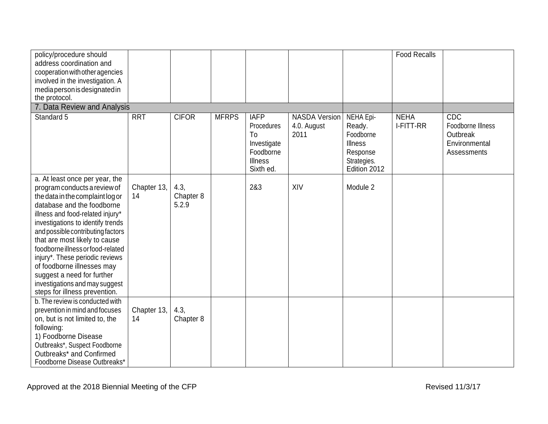| policy/procedure should<br>address coordination and<br>cooperation with other agencies<br>involved in the investigation. A<br>media person is designated in<br>the protocol.                                                                                                                                                                                                                                                                                                           |                   |                            |              |                                                                                            |                                             |                                                                                               | <b>Food Recalls</b>      |                                                                      |
|----------------------------------------------------------------------------------------------------------------------------------------------------------------------------------------------------------------------------------------------------------------------------------------------------------------------------------------------------------------------------------------------------------------------------------------------------------------------------------------|-------------------|----------------------------|--------------|--------------------------------------------------------------------------------------------|---------------------------------------------|-----------------------------------------------------------------------------------------------|--------------------------|----------------------------------------------------------------------|
| 7. Data Review and Analysis<br>Standard 5                                                                                                                                                                                                                                                                                                                                                                                                                                              | <b>RRT</b>        | <b>CIFOR</b>               | <b>MFRPS</b> | <b>IAFP</b><br>Procedures<br>To<br>Investigate<br>Foodborne<br><b>Illness</b><br>Sixth ed. | <b>NASDA Version</b><br>4.0. August<br>2011 | NEHA Epi-<br>Ready.<br>Foodborne<br><b>Illness</b><br>Response<br>Strategies.<br>Edition 2012 | <b>NEHA</b><br>I-FITT-RR | CDC<br>Foodborne Illness<br>Outbreak<br>Environmental<br>Assessments |
| a. At least once per year, the<br>program conducts a review of<br>the data in the complaint log or<br>database and the foodborne<br>illness and food-related injury*<br>investigations to identify trends<br>and possible contributing factors<br>that are most likely to cause<br>foodborne illness or food-related<br>injury*. These periodic reviews<br>of foodborne illnesses may<br>suggest a need for further<br>investigations and may suggest<br>steps for illness prevention. | Chapter 13,<br>14 | 4.3,<br>Chapter 8<br>5.2.9 |              | 2&3                                                                                        | XIV                                         | Module 2                                                                                      |                          |                                                                      |
| b. The review is conducted with<br>prevention in mind and focuses<br>on, but is not limited to, the<br>following:<br>1) Foodborne Disease<br>Outbreaks*, Suspect Foodborne<br>Outbreaks* and Confirmed<br>Foodborne Disease Outbreaks*                                                                                                                                                                                                                                                 | Chapter 13,<br>14 | 4.3,<br>Chapter 8          |              |                                                                                            |                                             |                                                                                               |                          |                                                                      |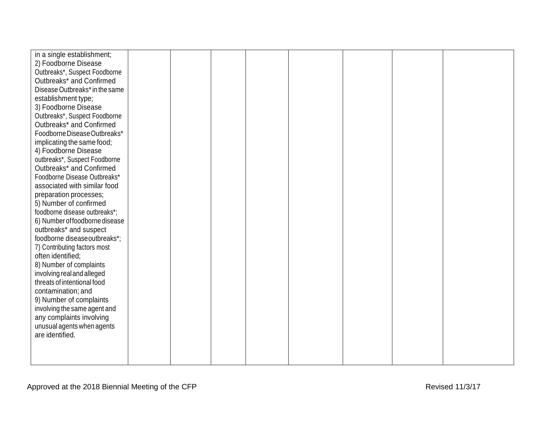| in a single establishment;     |  |  |  |  |
|--------------------------------|--|--|--|--|
| 2) Foodborne Disease           |  |  |  |  |
| Outbreaks*, Suspect Foodborne  |  |  |  |  |
| Outbreaks* and Confirmed       |  |  |  |  |
| Disease Outbreaks* in the same |  |  |  |  |
| establishment type;            |  |  |  |  |
| 3) Foodborne Disease           |  |  |  |  |
| Outbreaks*, Suspect Foodborne  |  |  |  |  |
| Outbreaks* and Confirmed       |  |  |  |  |
| Foodborne Disease Outbreaks*   |  |  |  |  |
| implicating the same food;     |  |  |  |  |
| 4) Foodborne Disease           |  |  |  |  |
| outbreaks*, Suspect Foodborne  |  |  |  |  |
| Outbreaks* and Confirmed       |  |  |  |  |
| Foodborne Disease Outbreaks*   |  |  |  |  |
| associated with similar food   |  |  |  |  |
| preparation processes;         |  |  |  |  |
| 5) Number of confirmed         |  |  |  |  |
| foodborne disease outbreaks*;  |  |  |  |  |
| 6) Number of foodborne disease |  |  |  |  |
| outbreaks* and suspect         |  |  |  |  |
| foodborne diseaseoutbreaks*;   |  |  |  |  |
| 7) Contributing factors most   |  |  |  |  |
| often identified;              |  |  |  |  |
| 8) Number of complaints        |  |  |  |  |
| involving real and alleged     |  |  |  |  |
| threats of intentional food    |  |  |  |  |
| contamination; and             |  |  |  |  |
| 9) Number of complaints        |  |  |  |  |
| involving the same agent and   |  |  |  |  |
| any complaints involving       |  |  |  |  |
| unusual agents when agents     |  |  |  |  |
| are identified.                |  |  |  |  |
|                                |  |  |  |  |
|                                |  |  |  |  |
|                                |  |  |  |  |